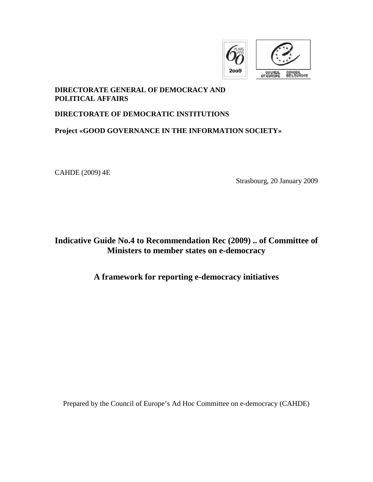

## **DIRECTORATE GENERAL OF DEMOCRACY AND POLITICAL AFFAIRS**

#### **DIRECTORATE OF DEMOCRATIC INSTITUTIONS**

## **Project «GOOD GOVERNANCE IN THE INFORMATION SOCIETY»**

CAHDE (2009) 4E

Strasbourg, 20 January 2009

# **Indicative Guide No.4 to Recommendation Rec (2009) .. of Committee of Ministers to member states on e-democracy**

## **A framework for reporting e-democracy initiatives**

Prepared by the Council of Europe's Ad Hoc Committee on e-democracy (CAHDE)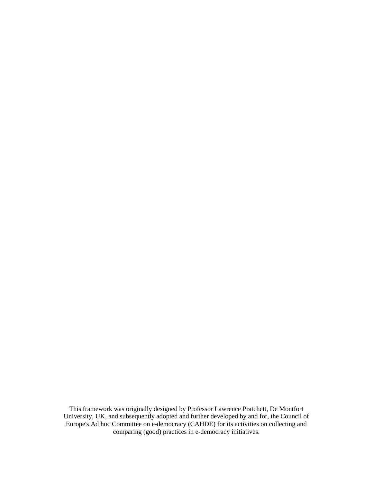This framework was originally designed by Professor Lawrence Pratchett, De Montfort University, UK, and subsequently adopted and further developed by and for, the Council of Europe's Ad hoc Committee on e-democracy (CAHDE) for its activities on collecting and comparing (good) practices in e-democracy initiatives.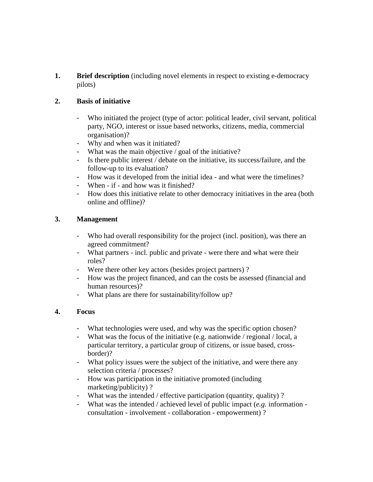**1. Brief description** (including novel elements in respect to existing e-democracy pilots)

## **2. Basis of initiative**

- Who initiated the project (type of actor: political leader, civil servant, political party, NGO, interest or issue based networks, citizens, media, commercial organisation)?
- Why and when was it initiated?
- What was the main objective / goal of the initiative?
- Is there public interest / debate on the initiative, its success/failure, and the follow-up to its evaluation?
- How was it developed from the initial idea and what were the timelines?
- When if and how was it finished?
- How does this initiative relate to other democracy initiatives in the area (both online and offline)?

#### **3. Management**

- Who had overall responsibility for the project (incl. position), was there an agreed commitment?
- What partners incl. public and private were there and what were their roles?
- Were there other key actors (besides project partners) ?
- How was the project financed, and can the costs be assessed (financial and human resources)?
- What plans are there for sustainability/follow up?

#### **4. Focus**

- What technologies were used, and why was the specific option chosen?
- What was the focus of the initiative (e.g. nationwide / regional / local, a particular territory, a particular group of citizens, or issue based, crossborder)?
- What policy issues were the subject of the initiative, and were there any selection criteria / processes?
- How was participation in the initiative promoted (including marketing/publicity) ?
- What was the intended / effective participation (quantity, quality) ?
- What was the intended / achieved level of public impact (*e.g.* information consultation - involvement - collaboration - empowerment) ?